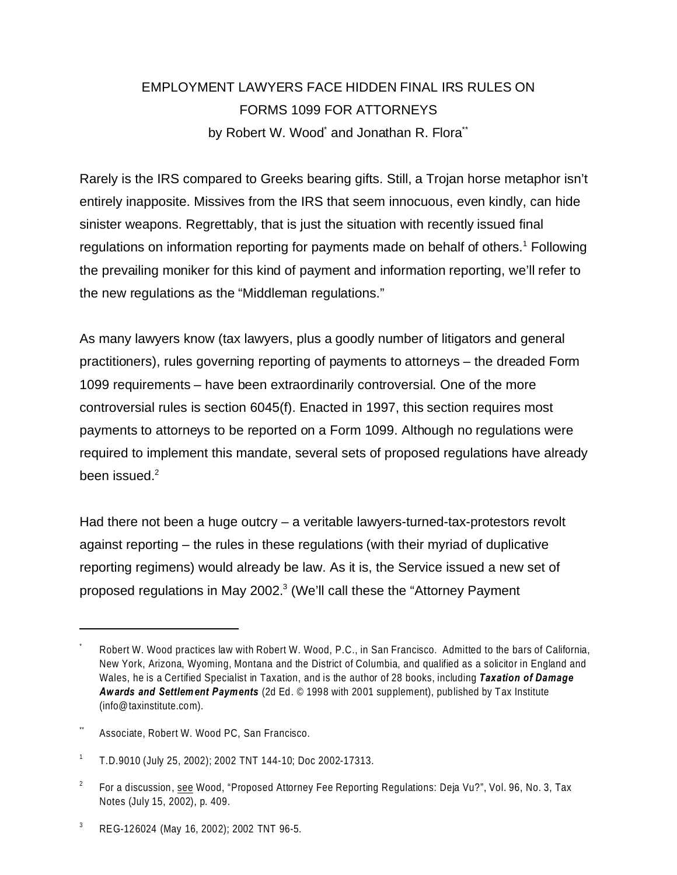# EMPLOYMENT LAWYERS FACE HIDDEN FINAL IRS RULES ON FORMS 1099 FOR ATTORNEYS by Robert W. Wood<sup>\*</sup> and Jonathan R. Flora<sup>\*\*</sup>

Rarely is the IRS compared to Greeks bearing gifts. Still, a Trojan horse metaphor isn't entirely inapposite. Missives from the IRS that seem innocuous, even kindly, can hide sinister weapons. Regrettably, that is just the situation with recently issued final regulations on information reporting for payments made on behalf of others.<sup>1</sup> Following the prevailing moniker for this kind of payment and information reporting, we'll refer to the new regulations as the "Middleman regulations."

As many lawyers know (tax lawyers, plus a goodly number of litigators and general practitioners), rules governing reporting of payments to attorneys – the dreaded Form 1099 requirements – have been extraordinarily controversial. One of the more controversial rules is section 6045(f). Enacted in 1997, this section requires most payments to attorneys to be reported on a Form 1099. Although no regulations were required to implement this mandate, several sets of proposed regulations have already been issued. $2$ 

Had there not been a huge outcry – a veritable lawyers-turned-tax-protestors revolt against reporting – the rules in these regulations (with their myriad of duplicative reporting regimens) would already be law. As it is, the Service issued a new set of proposed regulations in May 2002.<sup>3</sup> (We'll call these the "Attorney Payment

Associate, Robert W. Wood PC, San Francisco.

3 REG-126024 (May 16, 2002); 2002 TNT 96-5.

<sup>\*</sup> Robert W. Wood practices law with Robert W. Wood, P.C., in San Francisco. Admitted to the bars of California, New York, Arizona, Wyoming, Montana and the District of Columbia, and qualified as a solicitor in England and Wales, he is a Certified Specialist in Taxation, and is the author of 28 books, including *Taxation of Damage Awards and Settlement Payments* (2d Ed. © 1998 with 2001 supplement), published by Tax Institute (info@taxinstitute.com).

<sup>1</sup> T.D.9010 (July 25, 2002); 2002 TNT 144-10; Doc 2002-17313.

<sup>2</sup> For a discussion, see Wood, "Proposed Attorney Fee Reporting Regulations: Deja Vu?", Vol. 96, No. 3, Tax Notes (July 15, 2002), p. 409.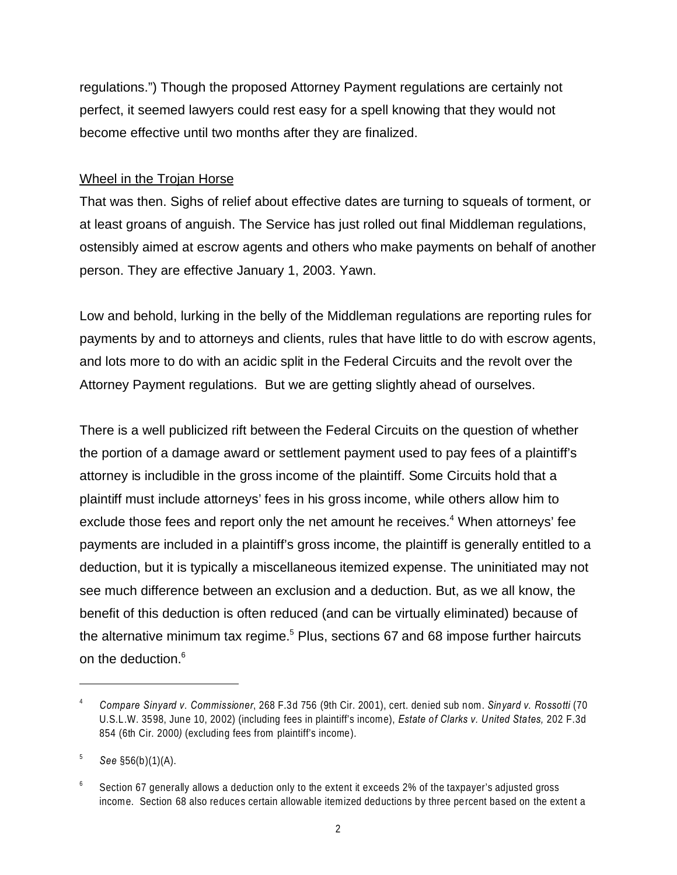regulations.") Though the proposed Attorney Payment regulations are certainly not perfect, it seemed lawyers could rest easy for a spell knowing that they would not become effective until two months after they are finalized.

# Wheel in the Trojan Horse

That was then. Sighs of relief about effective dates are turning to squeals of torment, or at least groans of anguish. The Service has just rolled out final Middleman regulations, ostensibly aimed at escrow agents and others who make payments on behalf of another person. They are effective January 1, 2003. Yawn.

Low and behold, lurking in the belly of the Middleman regulations are reporting rules for payments by and to attorneys and clients, rules that have little to do with escrow agents, and lots more to do with an acidic split in the Federal Circuits and the revolt over the Attorney Payment regulations. But we are getting slightly ahead of ourselves.

There is a well publicized rift between the Federal Circuits on the question of whether the portion of a damage award or settlement payment used to pay fees of a plaintiff's attorney is includible in the gross income of the plaintiff. Some Circuits hold that a plaintiff must include attorneys' fees in his gross income, while others allow him to exclude those fees and report only the net amount he receives. $4$  When attorneys' fee payments are included in a plaintiff's gross income, the plaintiff is generally entitled to a deduction, but it is typically a miscellaneous itemized expense. The uninitiated may not see much difference between an exclusion and a deduction. But, as we all know, the benefit of this deduction is often reduced (and can be virtually eliminated) because of the alternative minimum tax regime.<sup>5</sup> Plus, sections 67 and 68 impose further haircuts on the deduction.<sup>6</sup>

<sup>4</sup> *Compare Sinyard v. Commissioner*, 268 F.3d 756 (9th Cir. 2001), cert. denied sub nom. *Sinyard v. Rossotti* (70 U.S.L.W. 3598, June 10, 2002) (including fees in plaintiff's income), *Estate of Clarks v. United States,* 202 F.3d 854 (6th Cir. 2000*)* (excluding fees from plaintiff's income).

<sup>5</sup> *See* §56(b)(1)(A).

<sup>6</sup> Section 67 generally allows a deduction only to the extent it exceeds 2% of the taxpayer's adjusted gross income. Section 68 also reduces certain allowable itemized deductions by three percent based on the extent a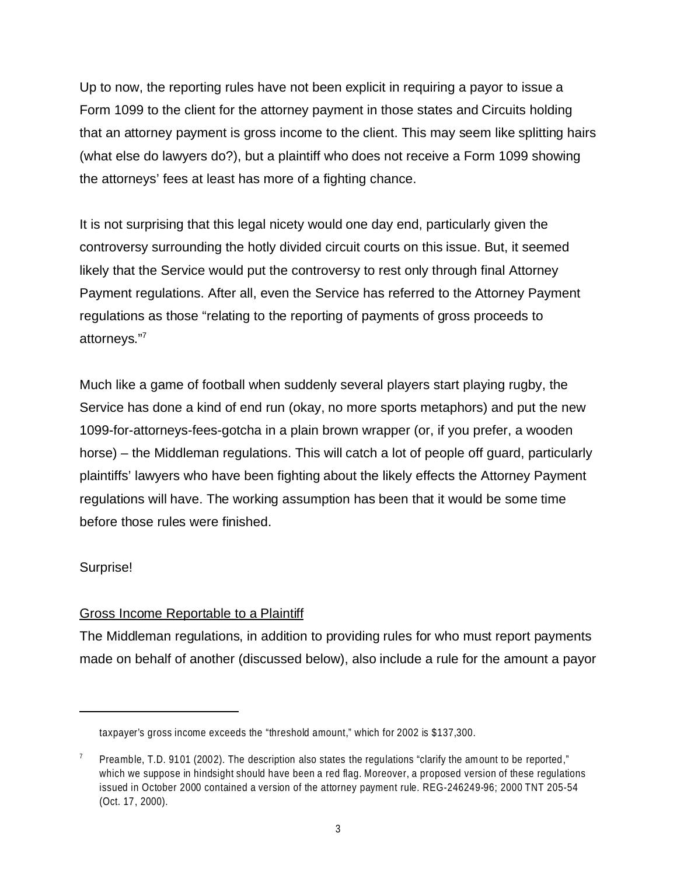Up to now, the reporting rules have not been explicit in requiring a payor to issue a Form 1099 to the client for the attorney payment in those states and Circuits holding that an attorney payment is gross income to the client. This may seem like splitting hairs (what else do lawyers do?), but a plaintiff who does not receive a Form 1099 showing the attorneys' fees at least has more of a fighting chance.

It is not surprising that this legal nicety would one day end, particularly given the controversy surrounding the hotly divided circuit courts on this issue. But, it seemed likely that the Service would put the controversy to rest only through final Attorney Payment regulations. After all, even the Service has referred to the Attorney Payment regulations as those "relating to the reporting of payments of gross proceeds to attorneys."<sup>7</sup>

Much like a game of football when suddenly several players start playing rugby, the Service has done a kind of end run (okay, no more sports metaphors) and put the new 1099-for-attorneys-fees-gotcha in a plain brown wrapper (or, if you prefer, a wooden horse) – the Middleman regulations. This will catch a lot of people off guard, particularly plaintiffs' lawyers who have been fighting about the likely effects the Attorney Payment regulations will have. The working assumption has been that it would be some time before those rules were finished.

# Surprise!

# Gross Income Reportable to a Plaintiff

The Middleman regulations, in addition to providing rules for who must report payments made on behalf of another (discussed below), also include a rule for the amount a payor

taxpayer's gross income exceeds the "threshold amount," which for 2002 is \$137,300.

<sup>7</sup> Preamble, T.D. 9101 (2002). The description also states the regulations "clarify the amount to be reported," which we suppose in hindsight should have been a red flag. Moreover, a proposed version of these regulations issued in October 2000 contained a version of the attorney payment rule. REG-246249-96; 2000 TNT 205-54 (Oct. 17, 2000).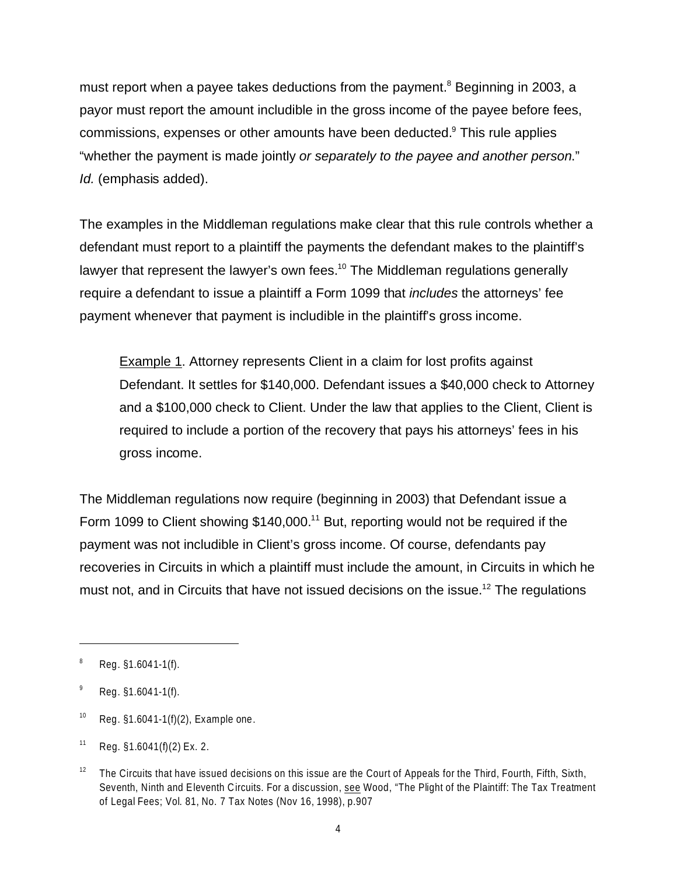must report when a payee takes deductions from the payment.<sup>8</sup> Beginning in 2003, a payor must report the amount includible in the gross income of the payee before fees, commissions, expenses or other amounts have been deducted.<sup>9</sup> This rule applies "whether the payment is made jointly *or separately to the payee and another person*." *Id.* (emphasis added).

The examples in the Middleman regulations make clear that this rule controls whether a defendant must report to a plaintiff the payments the defendant makes to the plaintiff's lawyer that represent the lawyer's own fees.<sup>10</sup> The Middleman regulations generally require a defendant to issue a plaintiff a Form 1099 that *includes* the attorneys' fee payment whenever that payment is includible in the plaintiff's gross income.

**Example 1.** Attorney represents Client in a claim for lost profits against Defendant. It settles for \$140,000. Defendant issues a \$40,000 check to Attorney and a \$100,000 check to Client. Under the law that applies to the Client, Client is required to include a portion of the recovery that pays his attorneys' fees in his gross income.

The Middleman regulations now require (beginning in 2003) that Defendant issue a Form 1099 to Client showing \$140,000.<sup>11</sup> But, reporting would not be required if the payment was not includible in Client's gross income. Of course, defendants pay recoveries in Circuits in which a plaintiff must include the amount, in Circuits in which he must not, and in Circuits that have not issued decisions on the issue.<sup>12</sup> The regulations

<sup>8</sup> Reg. §1.6041-1(f).

<sup>9</sup> Reg. §1.6041-1(f).

<sup>&</sup>lt;sup>10</sup> Reg.  $$1.6041-1(f)(2)$ , Example one.

 $11$  Reg. §1.6041(f)(2) Ex. 2.

<sup>&</sup>lt;sup>12</sup> The Circuits that have issued decisions on this issue are the Court of Appeals for the Third, Fourth, Fifth, Sixth, Seventh, Ninth and Eleventh Circuits. For a discussion, see Wood, "The Plight of the Plaintiff: The Tax Treatment of Legal Fees; Vol. 81, No. 7 Tax Notes (Nov 16, 1998), p.907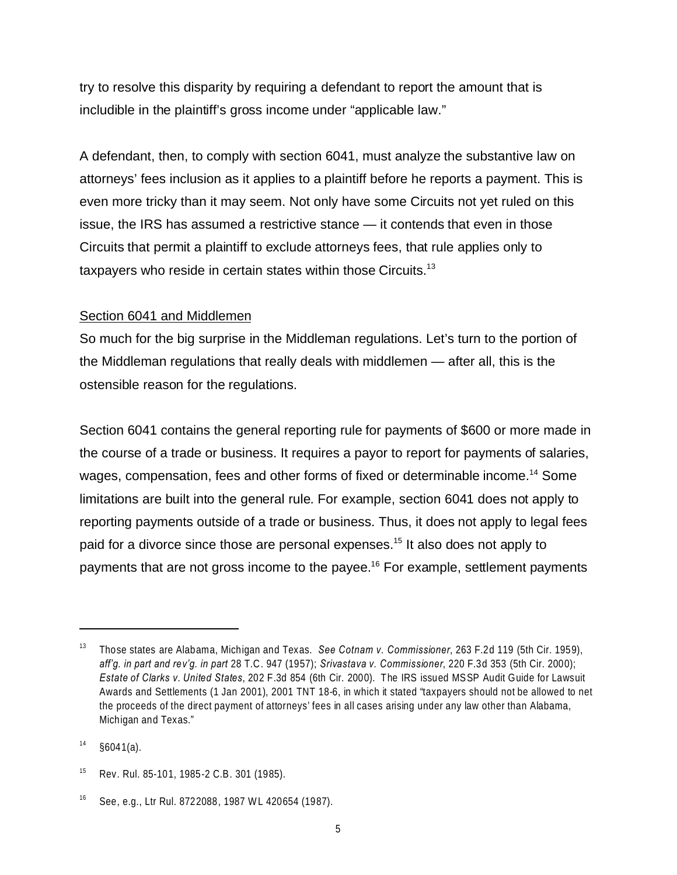try to resolve this disparity by requiring a defendant to report the amount that is includible in the plaintiff's gross income under "applicable law."

A defendant, then, to comply with section 6041, must analyze the substantive law on attorneys' fees inclusion as it applies to a plaintiff before he reports a payment. This is even more tricky than it may seem. Not only have some Circuits not yet ruled on this issue, the IRS has assumed a restrictive stance — it contends that even in those Circuits that permit a plaintiff to exclude attorneys fees, that rule applies only to taxpayers who reside in certain states within those Circuits.<sup>13</sup>

#### Section 6041 and Middlemen

So much for the big surprise in the Middleman regulations. Let's turn to the portion of the Middleman regulations that really deals with middlemen — after all, this is the ostensible reason for the regulations.

Section 6041 contains the general reporting rule for payments of \$600 or more made in the course of a trade or business. It requires a payor to report for payments of salaries, wages, compensation, fees and other forms of fixed or determinable income.<sup>14</sup> Some limitations are built into the general rule. For example, section 6041 does not apply to reporting payments outside of a trade or business. Thus, it does not apply to legal fees paid for a divorce since those are personal expenses.<sup>15</sup> It also does not apply to payments that are not gross income to the payee.<sup>16</sup> For example, settlement payments

<sup>13</sup> Those states are Alabama, Michigan and Texas. *See Cotnam v. Commissioner*, 263 F.2d 119 (5th Cir. 1959), *aff'g. in part and rev'g. in part* 28 T.C. 947 (1957); *Srivastava v. Commissioner*, 220 F.3d 353 (5th Cir. 2000); *Estate of Clarks v. United States*, 202 F.3d 854 (6th Cir. 2000). The IRS issued MSSP Audit Guide for Lawsuit Awards and Settlements (1 Jan 2001), 2001 TNT 18-6, in which it stated "taxpayers should not be allowed to net the proceeds of the direct payment of attorneys' fees in all cases arising under any law other than Alabama, Michigan and Texas."

 $14$  §6041(a).

<sup>15</sup> Rev. Rul. 85-101, 1985-2 C.B. 301 (1985).

<sup>16</sup> See, e.g*.*, Ltr Rul. 8722088, 1987 WL 420654 (1987).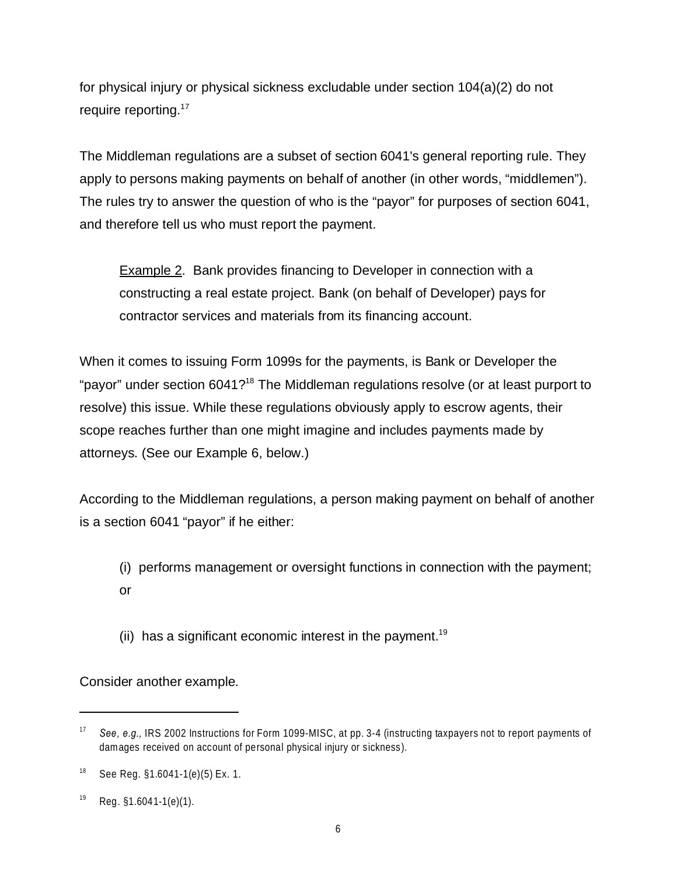for physical injury or physical sickness excludable under section 104(a)(2) do not require reporting.<sup>17</sup>

The Middleman regulations are a subset of section 6041's general reporting rule. They apply to persons making payments on behalf of another (in other words, "middlemen"). The rules try to answer the question of who is the "payor" for purposes of section 6041, and therefore tell us who must report the payment.

Example 2. Bank provides financing to Developer in connection with a constructing a real estate project. Bank (on behalf of Developer) pays for contractor services and materials from its financing account.

When it comes to issuing Form 1099s for the payments, is Bank or Developer the "payor" under section 6041?<sup>18</sup> The Middleman regulations resolve (or at least purport to resolve) this issue. While these regulations obviously apply to escrow agents, their scope reaches further than one might imagine and includes payments made by attorneys. (See our Example 6, below.)

According to the Middleman regulations, a person making payment on behalf of another is a section 6041 "payor" if he either:

(i) performs management or oversight functions in connection with the payment; or

(ii) has a significant economic interest in the payment.<sup>19</sup>

Consider another example.

<sup>17</sup> *See, e.g.,* IRS 2002 Instructions for Form 1099-MISC, at pp. 3-4 (instructing taxpayers not to report payments of damages received on account of personal physical injury or sickness).

<sup>&</sup>lt;sup>18</sup> See Reg.  $$1.6041-1(e)(5)$  Ex. 1.

 $^{19}$  Reg. §1.6041-1(e)(1).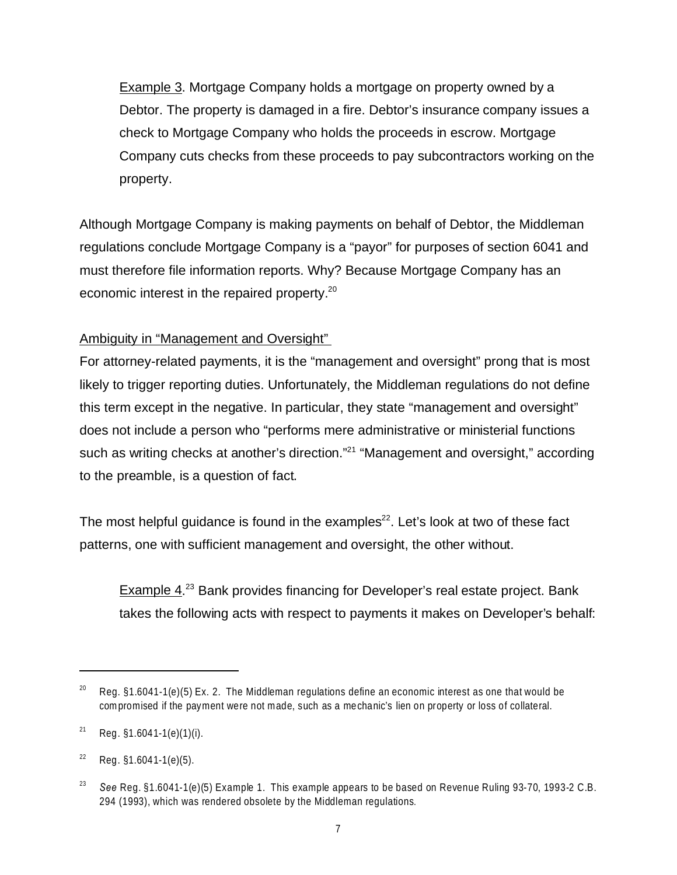Example 3. Mortgage Company holds a mortgage on property owned by a Debtor. The property is damaged in a fire. Debtor's insurance company issues a check to Mortgage Company who holds the proceeds in escrow. Mortgage Company cuts checks from these proceeds to pay subcontractors working on the property.

Although Mortgage Company is making payments on behalf of Debtor, the Middleman regulations conclude Mortgage Company is a "payor" for purposes of section 6041 and must therefore file information reports. Why? Because Mortgage Company has an economic interest in the repaired property.<sup>20</sup>

# Ambiguity in "Management and Oversight"

For attorney-related payments, it is the "management and oversight" prong that is most likely to trigger reporting duties. Unfortunately, the Middleman regulations do not define this term except in the negative. In particular, they state "management and oversight" does not include a person who "performs mere administrative or ministerial functions such as writing checks at another's direction."<sup>21</sup> "Management and oversight," according to the preamble, is a question of fact.

The most helpful quidance is found in the examples<sup>22</sup>. Let's look at two of these fact patterns, one with sufficient management and oversight, the other without.

Example 4.<sup>23</sup> Bank provides financing for Developer's real estate project. Bank takes the following acts with respect to payments it makes on Developer's behalf:

Reg.  $§1.6041-1(e)(5)$  Ex. 2. The Middleman regulations define an economic interest as one that would be compromised if the payment were not made, such as a mechanic's lien on property or loss of collateral.

 $21$  Reg. §1.6041-1(e)(1)(i).

 $22$  Reg.  $$1.6041-1(e)(5)$ .

<sup>23</sup> *See* Reg. §1.6041-1(e)(5) Example 1. This example appears to be based on Revenue Ruling 93-70, 1993-2 C.B. 294 (1993), which was rendered obsolete by the Middleman regulations.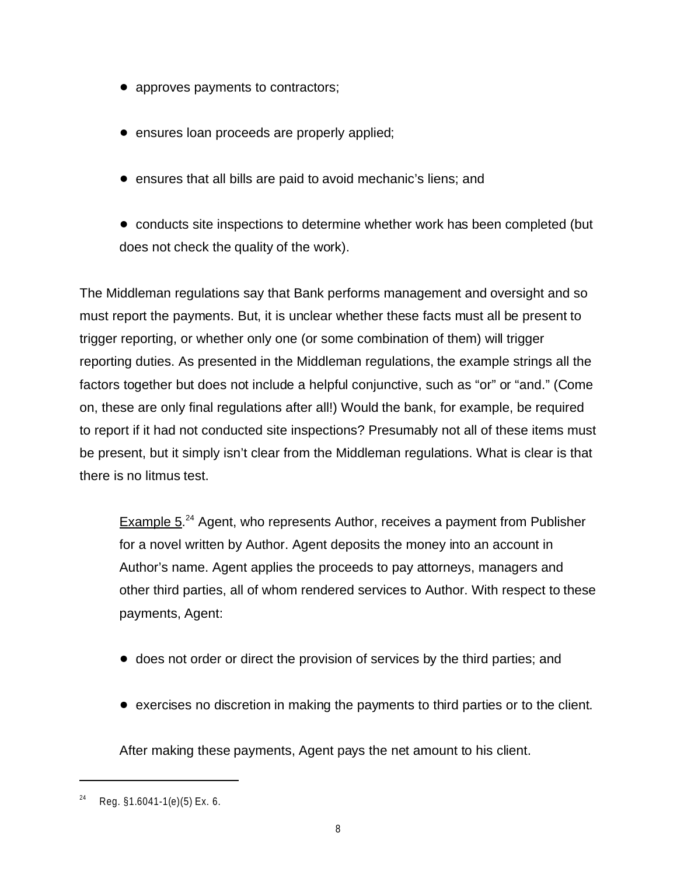- approves payments to contractors;
- $\bullet$  ensures loan proceeds are properly applied;
- ! ensures that all bills are paid to avoid mechanic's liens; and
- conducts site inspections to determine whether work has been completed (but does not check the quality of the work).

The Middleman regulations say that Bank performs management and oversight and so must report the payments. But, it is unclear whether these facts must all be present to trigger reporting, or whether only one (or some combination of them) will trigger reporting duties. As presented in the Middleman regulations, the example strings all the factors together but does not include a helpful conjunctive, such as "or" or "and." (Come on, these are only final regulations after all!) Would the bank, for example, be required to report if it had not conducted site inspections? Presumably not all of these items must be present, but it simply isn't clear from the Middleman regulations. What is clear is that there is no litmus test.

Example 5.<sup>24</sup> Agent, who represents Author, receives a payment from Publisher for a novel written by Author. Agent deposits the money into an account in Author's name. Agent applies the proceeds to pay attorneys, managers and other third parties, all of whom rendered services to Author. With respect to these payments, Agent:

- does not order or direct the provision of services by the third parties; and
- ! exercises no discretion in making the payments to third parties or to the client.

After making these payments, Agent pays the net amount to his client.

 $24$  Reg. §1.6041-1(e)(5) Ex. 6.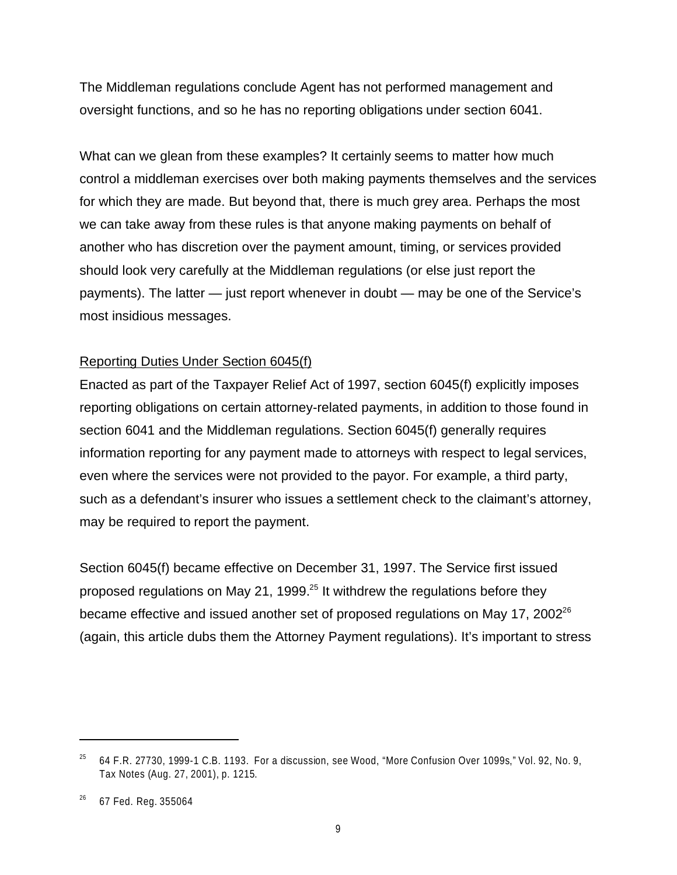The Middleman regulations conclude Agent has not performed management and oversight functions, and so he has no reporting obligations under section 6041.

What can we glean from these examples? It certainly seems to matter how much control a middleman exercises over both making payments themselves and the services for which they are made. But beyond that, there is much grey area. Perhaps the most we can take away from these rules is that anyone making payments on behalf of another who has discretion over the payment amount, timing, or services provided should look very carefully at the Middleman regulations (or else just report the payments). The latter — just report whenever in doubt — may be one of the Service's most insidious messages.

### Reporting Duties Under Section 6045(f)

Enacted as part of the Taxpayer Relief Act of 1997, section 6045(f) explicitly imposes reporting obligations on certain attorney-related payments, in addition to those found in section 6041 and the Middleman regulations. Section 6045(f) generally requires information reporting for any payment made to attorneys with respect to legal services, even where the services were not provided to the payor. For example, a third party, such as a defendant's insurer who issues a settlement check to the claimant's attorney, may be required to report the payment.

Section 6045(f) became effective on December 31, 1997. The Service first issued proposed regulations on May 21, 1999.<sup>25</sup> It withdrew the regulations before they became effective and issued another set of proposed regulations on May 17, 2002<sup>26</sup> (again, this article dubs them the Attorney Payment regulations). It's important to stress

 $25$  64 F.R. 27730, 1999-1 C.B. 1193. For a discussion, see Wood, "More Confusion Over 1099s," Vol. 92, No. 9, Tax Notes (Aug. 27, 2001), p. 1215.

<sup>26</sup> 67 Fed. Reg. 355064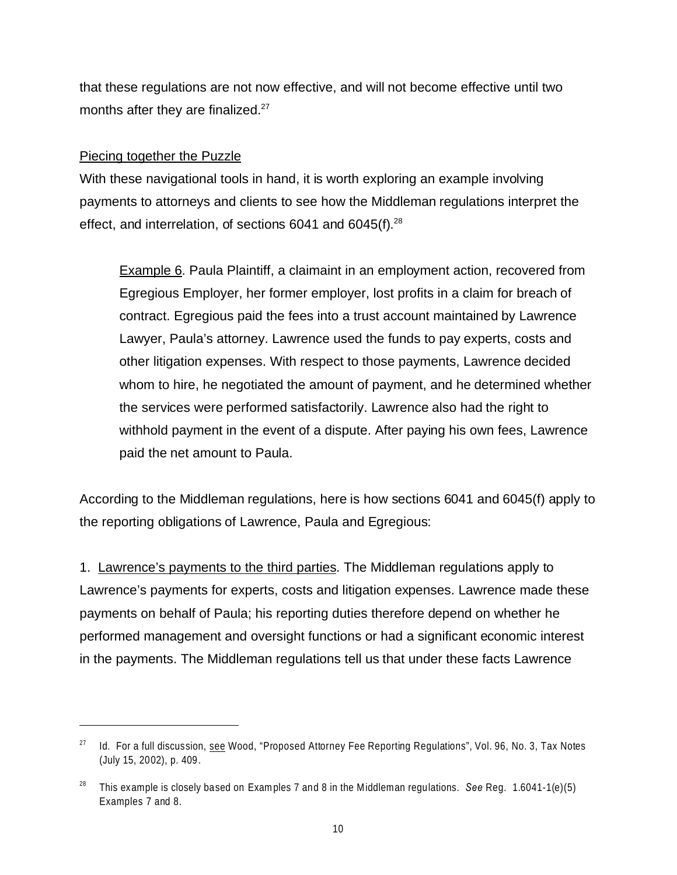that these regulations are not now effective, and will not become effective until two months after they are finalized. $27$ 

# Piecing together the Puzzle

With these navigational tools in hand, it is worth exploring an example involving payments to attorneys and clients to see how the Middleman regulations interpret the effect, and interrelation, of sections 6041 and  $6045(f).^{28}$ 

Example 6. Paula Plaintiff, a claimaint in an employment action, recovered from Egregious Employer, her former employer, lost profits in a claim for breach of contract. Egregious paid the fees into a trust account maintained by Lawrence Lawyer, Paula's attorney. Lawrence used the funds to pay experts, costs and other litigation expenses. With respect to those payments, Lawrence decided whom to hire, he negotiated the amount of payment, and he determined whether the services were performed satisfactorily. Lawrence also had the right to withhold payment in the event of a dispute. After paying his own fees, Lawrence paid the net amount to Paula.

According to the Middleman regulations, here is how sections 6041 and 6045(f) apply to the reporting obligations of Lawrence, Paula and Egregious:

1. Lawrence's payments to the third parties. The Middleman regulations apply to Lawrence's payments for experts, costs and litigation expenses. Lawrence made these payments on behalf of Paula; his reporting duties therefore depend on whether he performed management and oversight functions or had a significant economic interest in the payments. The Middleman regulations tell us that under these facts Lawrence

 $27$  Id. For a full discussion, see Wood, "Proposed Attorney Fee Reporting Regulations", Vol. 96, No. 3, Tax Notes (July 15, 2002), p. 409.

<sup>28</sup> This example is closely based on Examples 7 and 8 in the Middleman regulations. *See* Reg. 1.6041-1(e)(5) Examples 7 and 8.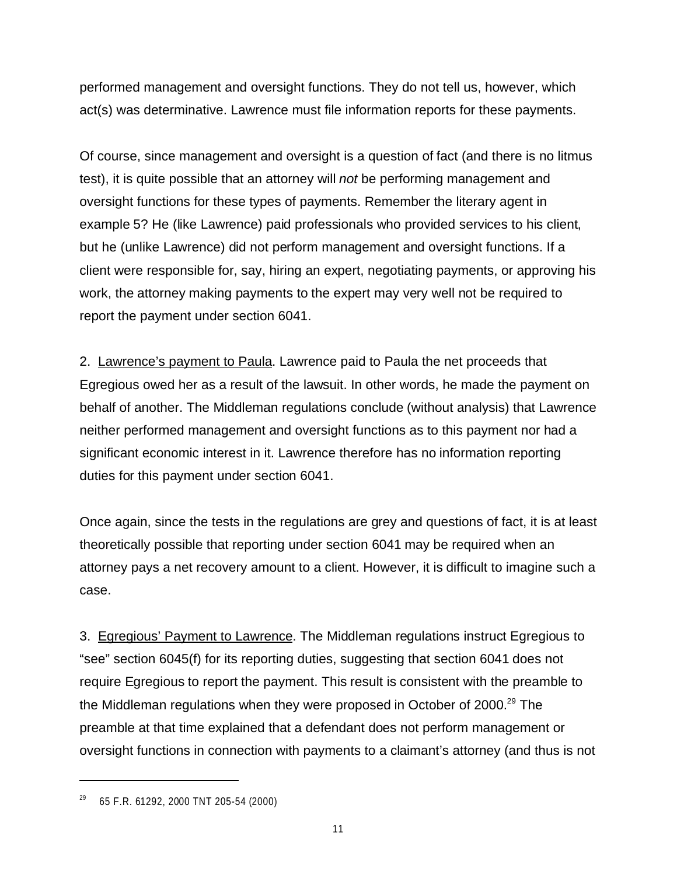performed management and oversight functions. They do not tell us, however, which act(s) was determinative. Lawrence must file information reports for these payments.

Of course, since management and oversight is a question of fact (and there is no litmus test), it is quite possible that an attorney will *not* be performing management and oversight functions for these types of payments. Remember the literary agent in example 5? He (like Lawrence) paid professionals who provided services to his client, but he (unlike Lawrence) did not perform management and oversight functions. If a client were responsible for, say, hiring an expert, negotiating payments, or approving his work, the attorney making payments to the expert may very well not be required to report the payment under section 6041.

2. Lawrence's payment to Paula. Lawrence paid to Paula the net proceeds that Egregious owed her as a result of the lawsuit. In other words, he made the payment on behalf of another. The Middleman regulations conclude (without analysis) that Lawrence neither performed management and oversight functions as to this payment nor had a significant economic interest in it. Lawrence therefore has no information reporting duties for this payment under section 6041.

Once again, since the tests in the regulations are grey and questions of fact, it is at least theoretically possible that reporting under section 6041 may be required when an attorney pays a net recovery amount to a client. However, it is difficult to imagine such a case.

3. Egregious' Payment to Lawrence. The Middleman regulations instruct Egregious to "see" section 6045(f) for its reporting duties, suggesting that section 6041 does not require Egregious to report the payment. This result is consistent with the preamble to the Middleman regulations when they were proposed in October of 2000.<sup>29</sup> The preamble at that time explained that a defendant does not perform management or oversight functions in connection with payments to a claimant's attorney (and thus is not

<sup>29</sup> 65 F.R. 61292, 2000 TNT 205-54 (2000)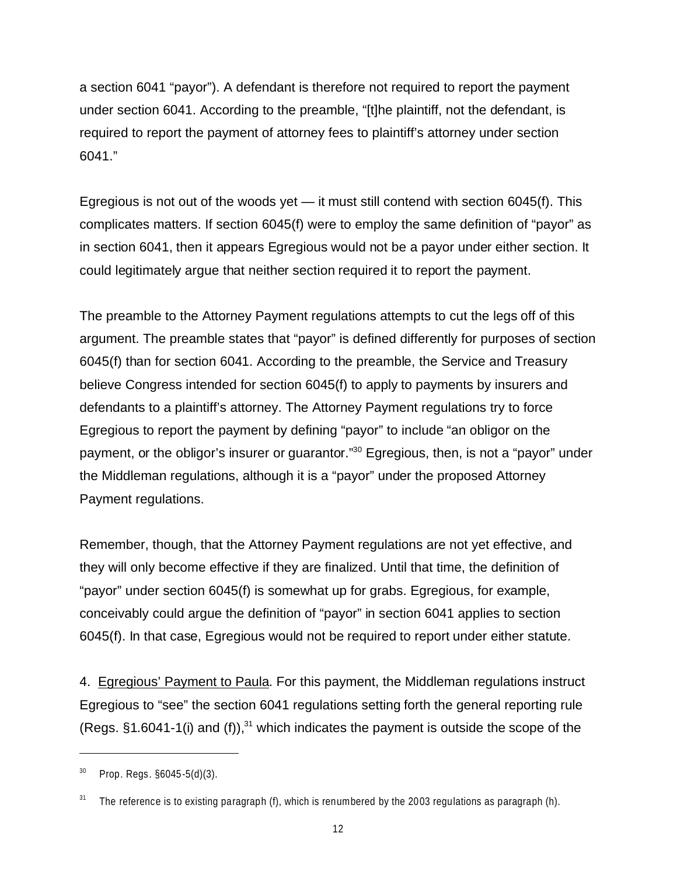a section 6041 "payor"). A defendant is therefore not required to report the payment under section 6041. According to the preamble, "[t]he plaintiff, not the defendant, is required to report the payment of attorney fees to plaintiff's attorney under section 6041."

Egregious is not out of the woods yet  $-$  it must still contend with section 6045(f). This complicates matters. If section 6045(f) were to employ the same definition of "payor" as in section 6041, then it appears Egregious would not be a payor under either section. It could legitimately argue that neither section required it to report the payment.

The preamble to the Attorney Payment regulations attempts to cut the legs off of this argument. The preamble states that "payor" is defined differently for purposes of section 6045(f) than for section 6041. According to the preamble, the Service and Treasury believe Congress intended for section 6045(f) to apply to payments by insurers and defendants to a plaintiff's attorney. The Attorney Payment regulations try to force Egregious to report the payment by defining "payor" to include "an obligor on the payment, or the obligor's insurer or guarantor."<sup>30</sup> Egregious, then, is not a "payor" under the Middleman regulations, although it is a "payor" under the proposed Attorney Payment regulations.

Remember, though, that the Attorney Payment regulations are not yet effective, and they will only become effective if they are finalized. Until that time, the definition of "payor" under section 6045(f) is somewhat up for grabs. Egregious, for example, conceivably could argue the definition of "payor" in section 6041 applies to section 6045(f). In that case, Egregious would not be required to report under either statute.

4. Egregious' Payment to Paula. For this payment, the Middleman regulations instruct Egregious to "see" the section 6041 regulations setting forth the general reporting rule (Regs.  $§1.6041-1(i)$  and (f)),<sup>31</sup> which indicates the payment is outside the scope of the

 $30$  Prop. Regs.  $\S6045-5(d)(3)$ .

 $31$  The reference is to existing paragraph (f), which is renumbered by the 2003 regulations as paragraph (h).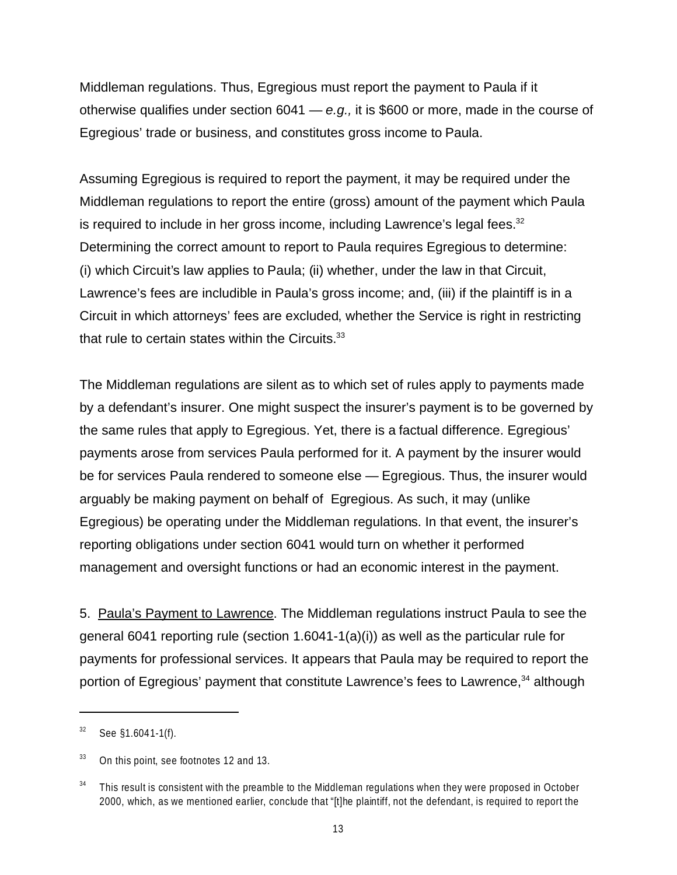Middleman regulations. Thus, Egregious must report the payment to Paula if it otherwise qualifies under section 6041 — *e.g.,* it is \$600 or more, made in the course of Egregious' trade or business, and constitutes gross income to Paula.

Assuming Egregious is required to report the payment, it may be required under the Middleman regulations to report the entire (gross) amount of the payment which Paula is required to include in her gross income, including Lawrence's legal fees. $32$ Determining the correct amount to report to Paula requires Egregious to determine: (i) which Circuit's law applies to Paula; (ii) whether, under the law in that Circuit, Lawrence's fees are includible in Paula's gross income; and, (iii) if the plaintiff is in a Circuit in which attorneys' fees are excluded, whether the Service is right in restricting that rule to certain states within the Circuits. $33$ 

The Middleman regulations are silent as to which set of rules apply to payments made by a defendant's insurer. One might suspect the insurer's payment is to be governed by the same rules that apply to Egregious. Yet, there is a factual difference. Egregious' payments arose from services Paula performed for it. A payment by the insurer would be for services Paula rendered to someone else — Egregious. Thus, the insurer would arguably be making payment on behalf of Egregious. As such, it may (unlike Egregious) be operating under the Middleman regulations. In that event, the insurer's reporting obligations under section 6041 would turn on whether it performed management and oversight functions or had an economic interest in the payment.

5. Paula's Payment to Lawrence. The Middleman regulations instruct Paula to see the general 6041 reporting rule (section  $1.6041-1(a)(i)$ ) as well as the particular rule for payments for professional services. It appears that Paula may be required to report the portion of Egregious' payment that constitute Lawrence's fees to Lawrence,<sup>34</sup> although

 $32$  See §1.6041-1(f).

<sup>&</sup>lt;sup>33</sup> On this point, see footnotes 12 and 13.

 $34$  This result is consistent with the preamble to the Middleman regulations when they were proposed in October 2000, which, as we mentioned earlier, conclude that "[t]he plaintiff, not the defendant, is required to report the